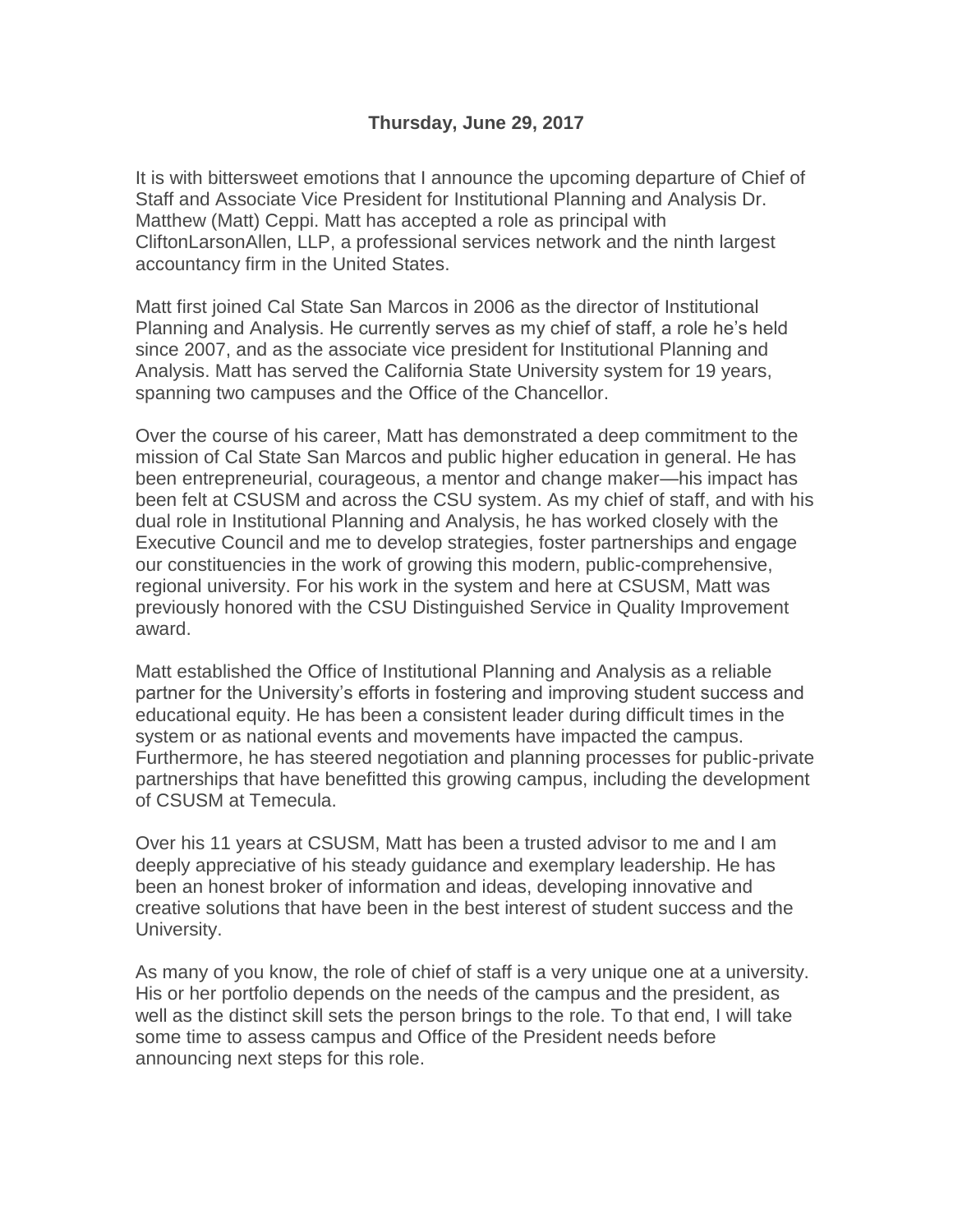It is with bittersweet emotions that I announce the upcoming departure of Chief of Staff and Associate Vice President for Institutional Planning and Analysis Dr. Matthew (Matt) Ceppi. Matt has accepted a role as principal with CliftonLarsonAllen, LLP, a professional services network and the ninth largest accountancy firm in the United States.

Matt first joined Cal State San Marcos in 2006 as the director of Institutional Planning and Analysis. He currently serves as my chief of staff, a role he's held since 2007, and as the associate vice president for Institutional Planning and Analysis. Matt has served the California State University system for 19 years, spanning two campuses and the Office of the Chancellor.

Over the course of his career, Matt has demonstrated a deep commitment to the mission of Cal State San Marcos and public higher education in general. He has been entrepreneurial, courageous, a mentor and change maker—his impact has been felt at CSUSM and across the CSU system. As my chief of staff, and with his dual role in Institutional Planning and Analysis, he has worked closely with the Executive Council and me to develop strategies, foster partnerships and engage our constituencies in the work of growing this modern, public-comprehensive, regional university. For his work in the system and here at CSUSM, Matt was previously honored with the CSU Distinguished Service in Quality Improvement award.

Matt established the Office of Institutional Planning and Analysis as a reliable partner for the University's efforts in fostering and improving student success and educational equity. He has been a consistent leader during difficult times in the system or as national events and movements have impacted the campus. Furthermore, he has steered negotiation and planning processes for public-private partnerships that have benefitted this growing campus, including the development of CSUSM at Temecula.

Over his 11 years at CSUSM, Matt has been a trusted advisor to me and I am deeply appreciative of his steady guidance and exemplary leadership. He has been an honest broker of information and ideas, developing innovative and creative solutions that have been in the best interest of student success and the University.

As many of you know, the role of chief of staff is a very unique one at a university. His or her portfolio depends on the needs of the campus and the president, as well as the distinct skill sets the person brings to the role. To that end, I will take some time to assess campus and Office of the President needs before announcing next steps for this role.